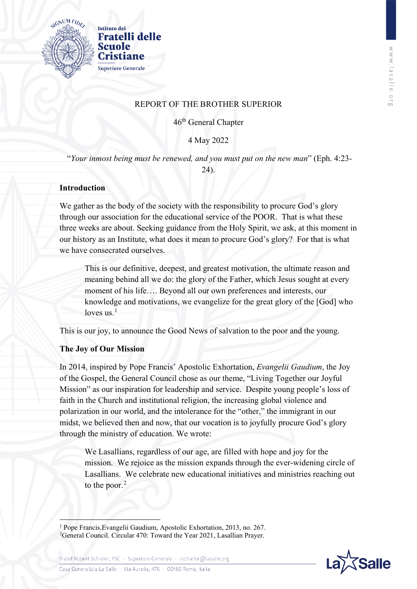

# REPORT OF THE BROTHER SUPERIOR

46th General Chapter

4 May 2022

"*Your inmost being must be renewed, and you must put on the new man*" (Eph. 4:23- 24).

## **Introduction**

We gather as the body of the society with the responsibility to procure God's glory through our association for the educational service of the POOR. That is what these three weeks are about. Seeking guidance from the Holy Spirit, we ask, at this moment in our history as an Institute, what does it mean to procure God's glory? For that is what we have consecrated ourselves.

This is our definitive, deepest, and greatest motivation, the ultimate reason and meaning behind all we do: the glory of the Father, which Jesus sought at every moment of his life…. Beyond all our own preferences and interests, our knowledge and motivations, we evangelize for the great glory of the [God] who loves us. $<sup>1</sup>$  $<sup>1</sup>$  $<sup>1</sup>$ </sup>

This is our joy, to announce the Good News of salvation to the poor and the young.

## **The Joy of Our Mission**

In 2014, inspired by Pope Francis' Apostolic Exhortation, *Evangelii Gaudium*, the Joy of the Gospel, the General Council chose as our theme, "Living Together our Joyful Mission" as our inspiration for leadership and service. Despite young people's loss of faith in the Church and institutional religion, the increasing global violence and polarization in our world, and the intolerance for the "other," the immigrant in our midst, we believed then and now, that our vocation is to joyfully procure God's glory through the ministry of education. We wrote:

We Lasallians, regardless of our age, are filled with hope and joy for the mission. We rejoice as the mission expands through the ever-widening circle of Lasallians. We celebrate new educational initiatives and ministries reaching out to the poor.<sup>[2](#page-0-1)</sup>

<span id="page-0-1"></span><span id="page-0-0"></span>**<sup>.</sup>** <sup>1</sup> Pope Francis. Evangelii Gaudium, Apostolic Exhortation, 2013, no. 267. <sup>2</sup>General Council. Circular 470: Toward the Year 2021, Lasallian Prayer.



Casa Generalizia La Salle · Via Aurelia, 476 · 00165 Roma, Italia

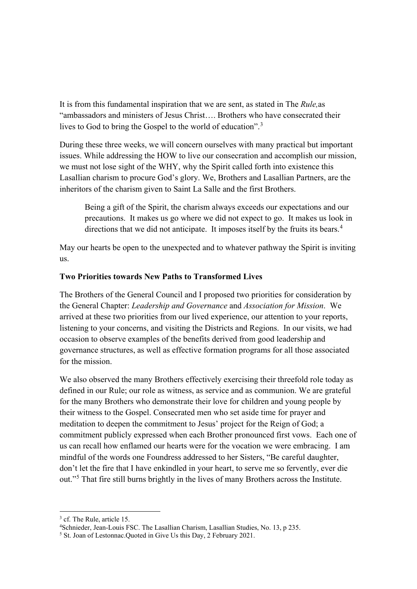It is from this fundamental inspiration that we are sent, as stated in The *Rule,*as "ambassadors and ministers of Jesus Christ…. Brothers who have consecrated their lives to God to bring the Gospel to the world of education".<sup>[3](#page-1-0)</sup>

During these three weeks, we will concern ourselves with many practical but important issues. While addressing the HOW to live our consecration and accomplish our mission, we must not lose sight of the WHY, why the Spirit called forth into existence this Lasallian charism to procure God's glory. We, Brothers and Lasallian Partners, are the inheritors of the charism given to Saint La Salle and the first Brothers.

Being a gift of the Spirit, the charism always exceeds our expectations and our precautions. It makes us go where we did not expect to go. It makes us look in directions that we did not anticipate. It imposes itself by the fruits its bears.<sup>[4](#page-1-1)</sup>

May our hearts be open to the unexpected and to whatever pathway the Spirit is inviting us.

#### **Two Priorities towards New Paths to Transformed Lives**

The Brothers of the General Council and I proposed two priorities for consideration by the General Chapter: *Leadership and Governance* and *Association for Mission*. We arrived at these two priorities from our lived experience, our attention to your reports, listening to your concerns, and visiting the Districts and Regions. In our visits, we had occasion to observe examples of the benefits derived from good leadership and governance structures, as well as effective formation programs for all those associated for the mission.

We also observed the many Brothers effectively exercising their threefold role today as defined in our Rule; our role as witness, as service and as communion. We are grateful for the many Brothers who demonstrate their love for children and young people by their witness to the Gospel. Consecrated men who set aside time for prayer and meditation to deepen the commitment to Jesus' project for the Reign of God; a commitment publicly expressed when each Brother pronounced first vows. Each one of us can recall how enflamed our hearts were for the vocation we were embracing. I am mindful of the words one Foundress addressed to her Sisters, "Be careful daughter, don't let the fire that I have enkindled in your heart, to serve me so fervently, ever die out."[5](#page-1-2) That fire still burns brightly in the lives of many Brothers across the Institute.

<u>.</u>

<span id="page-1-0"></span><sup>&</sup>lt;sup>3</sup> cf. The Rule, article 15.

<span id="page-1-1"></span><sup>4</sup> Schnieder, Jean-Louis FSC. The Lasallian Charism, Lasallian Studies, No. 13, p 235.

<span id="page-1-2"></span><sup>5</sup> St. Joan of Lestonnac.Quoted in Give Us this Day, 2 February 2021.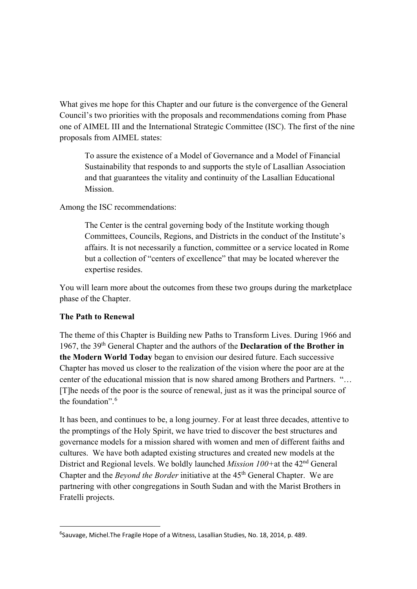What gives me hope for this Chapter and our future is the convergence of the General Council's two priorities with the proposals and recommendations coming from Phase one of AIMEL III and the International Strategic Committee (ISC). The first of the nine proposals from AIMEL states:

To assure the existence of a Model of Governance and a Model of Financial Sustainability that responds to and supports the style of Lasallian Association and that guarantees the vitality and continuity of the Lasallian Educational Mission.

Among the ISC recommendations:

The Center is the central governing body of the Institute working though Committees, Councils, Regions, and Districts in the conduct of the Institute's affairs. It is not necessarily a function, committee or a service located in Rome but a collection of "centers of excellence" that may be located wherever the expertise resides.

You will learn more about the outcomes from these two groups during the marketplace phase of the Chapter.

#### **The Path to Renewal**

The theme of this Chapter is Building new Paths to Transform Lives. During 1966 and 1967, the 39th General Chapter and the authors of the **Declaration of the Brother in the Modern World Today** began to envision our desired future. Each successive Chapter has moved us closer to the realization of the vision where the poor are at the center of the educational mission that is now shared among Brothers and Partners. "… [T]he needs of the poor is the source of renewal, just as it was the principal source of the foundation".<sup>[6](#page-2-0)</sup>

It has been, and continues to be, a long journey. For at least three decades, attentive to the promptings of the Holy Spirit, we have tried to discover the best structures and governance models for a mission shared with women and men of different faiths and cultures. We have both adapted existing structures and created new models at the District and Regional levels. We boldly launched *Mission 100+*at the 42nd General Chapter and the *Beyond the Border* initiative at the 45<sup>th</sup> General Chapter. We are partnering with other congregations in South Sudan and with the Marist Brothers in Fratelli projects.

<span id="page-2-0"></span><sup>—&</sup>lt;br>6 <sup>6</sup>Sauvage, Michel.The Fragile Hope of a Witness, Lasallian Studies, No. 18, 2014, p. 489.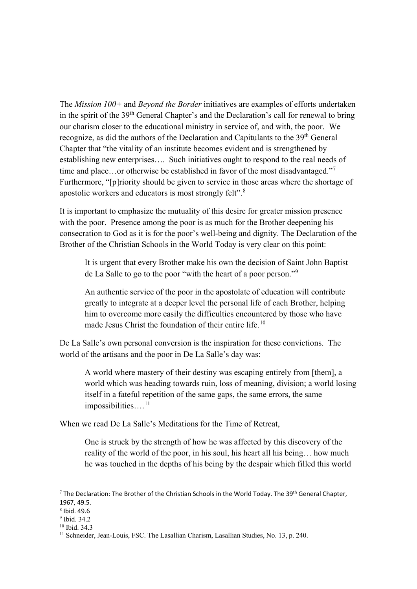The *Mission 100+* and *Beyond the Border* initiatives are examples of efforts undertaken in the spirit of the  $39<sup>th</sup>$  General Chapter's and the Declaration's call for renewal to bring our charism closer to the educational ministry in service of, and with, the poor. We recognize, as did the authors of the Declaration and Capitulants to the 39<sup>th</sup> General Chapter that "the vitality of an institute becomes evident and is strengthened by establishing new enterprises…. Such initiatives ought to respond to the real needs of time and place...or otherwise be established in favor of the most disadvantaged."<sup>[7](#page-3-0)</sup> Furthermore, "[p]riority should be given to service in those areas where the shortage of apostolic workers and educators is most strongly felt".[8](#page-3-1)

It is important to emphasize the mutuality of this desire for greater mission presence with the poor. Presence among the poor is as much for the Brother deepening his consecration to God as it is for the poor's well-being and dignity. The Declaration of the Brother of the Christian Schools in the World Today is very clear on this point:

It is urgent that every Brother make his own the decision of Saint John Baptist de La Salle to go to the poor "with the heart of a poor person."[9](#page-3-2)

An authentic service of the poor in the apostolate of education will contribute greatly to integrate at a deeper level the personal life of each Brother, helping him to overcome more easily the difficulties encountered by those who have made Jesus Christ the foundation of their entire life.<sup>[10](#page-3-3)</sup>

De La Salle's own personal conversion is the inspiration for these convictions. The world of the artisans and the poor in De La Salle's day was:

A world where mastery of their destiny was escaping entirely from [them], a world which was heading towards ruin, loss of meaning, division; a world losing itself in a fateful repetition of the same gaps, the same errors, the same impossibilities....<sup>[11](#page-3-4)</sup>

When we read De La Salle's Meditations for the Time of Retreat,

One is struck by the strength of how he was affected by this discovery of the reality of the world of the poor, in his soul, his heart all his being… how much he was touched in the depths of his being by the despair which filled this world

 $\overline{\phantom{a}}$ 

<span id="page-3-0"></span> $7$  The Declaration: The Brother of the Christian Schools in the World Today. The 39<sup>th</sup> General Chapter, 1967, 49.5.

 $8$  Ibid. 49.6

<span id="page-3-2"></span><span id="page-3-1"></span> $9$  Ibid. 34.2.

<span id="page-3-3"></span><sup>10</sup> Ibid. 34.3

<span id="page-3-4"></span><sup>&</sup>lt;sup>11</sup> Schneider, Jean-Louis, FSC. The Lasallian Charism, Lasallian Studies, No. 13, p. 240.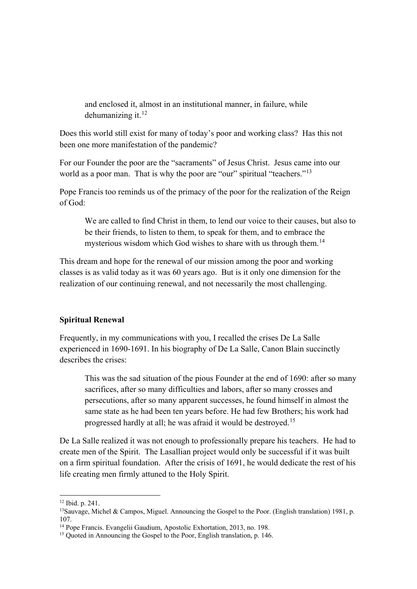and enclosed it, almost in an institutional manner, in failure, while dehumanizing it. $12$ 

Does this world still exist for many of today's poor and working class? Has this not been one more manifestation of the pandemic?

For our Founder the poor are the "sacraments" of Jesus Christ. Jesus came into our world as a poor man. That is why the poor are "our" spiritual "teachers."<sup>[13](#page-4-1)</sup>

Pope Francis too reminds us of the primacy of the poor for the realization of the Reign of God:

We are called to find Christ in them, to lend our voice to their causes, but also to be their friends, to listen to them, to speak for them, and to embrace the mysterious wisdom which God wishes to share with us through them.<sup>[14](#page-4-2)</sup>

This dream and hope for the renewal of our mission among the poor and working classes is as valid today as it was 60 years ago. But is it only one dimension for the realization of our continuing renewal, and not necessarily the most challenging.

## **Spiritual Renewal**

Frequently, in my communications with you, I recalled the crises De La Salle experienced in 1690-1691. In his biography of De La Salle, Canon Blain succinctly describes the crises:

This was the sad situation of the pious Founder at the end of 1690: after so many sacrifices, after so many difficulties and labors, after so many crosses and persecutions, after so many apparent successes, he found himself in almost the same state as he had been ten years before. He had few Brothers; his work had progressed hardly at all; he was afraid it would be destroyed.[15](#page-4-3)

De La Salle realized it was not enough to professionally prepare his teachers. He had to create men of the Spirit. The Lasallian project would only be successful if it was built on a firm spiritual foundation. After the crisis of 1691, he would dedicate the rest of his life creating men firmly attuned to the Holy Spirit.

**.** 

<span id="page-4-0"></span><sup>12</sup> Ibid. p. 241.

<span id="page-4-1"></span><sup>&</sup>lt;sup>13</sup>Sauvage, Michel & Campos, Miguel. Announcing the Gospel to the Poor. (English translation) 1981, p. 107.

<span id="page-4-2"></span><sup>14</sup> Pope Francis. Evangelii Gaudium, Apostolic Exhortation, 2013, no. 198.

<span id="page-4-3"></span><sup>&</sup>lt;sup>15</sup> Quoted in Announcing the Gospel to the Poor, English translation, p. 146.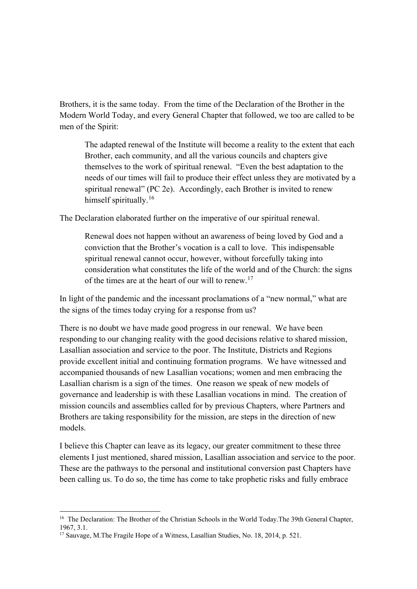Brothers, it is the same today. From the time of the Declaration of the Brother in the Modern World Today, and every General Chapter that followed, we too are called to be men of the Spirit:

The adapted renewal of the Institute will become a reality to the extent that each Brother, each community, and all the various councils and chapters give themselves to the work of spiritual renewal. "Even the best adaptation to the needs of our times will fail to produce their effect unless they are motivated by a spiritual renewal" (PC 2e). Accordingly, each Brother is invited to renew himself spiritually.<sup>[16](#page-5-0)</sup>

The Declaration elaborated further on the imperative of our spiritual renewal.

Renewal does not happen without an awareness of being loved by God and a conviction that the Brother's vocation is a call to love. This indispensable spiritual renewal cannot occur, however, without forcefully taking into consideration what constitutes the life of the world and of the Church: the signs of the times are at the heart of our will to renew.[17](#page-5-1)

In light of the pandemic and the incessant proclamations of a "new normal," what are the signs of the times today crying for a response from us?

There is no doubt we have made good progress in our renewal. We have been responding to our changing reality with the good decisions relative to shared mission, Lasallian association and service to the poor. The Institute, Districts and Regions provide excellent initial and continuing formation programs. We have witnessed and accompanied thousands of new Lasallian vocations; women and men embracing the Lasallian charism is a sign of the times. One reason we speak of new models of governance and leadership is with these Lasallian vocations in mind. The creation of mission councils and assemblies called for by previous Chapters, where Partners and Brothers are taking responsibility for the mission, are steps in the direction of new models.

I believe this Chapter can leave as its legacy, our greater commitment to these three elements I just mentioned, shared mission, Lasallian association and service to the poor. These are the pathways to the personal and institutional conversion past Chapters have been calling us. To do so, the time has come to take prophetic risks and fully embrace

<u>.</u>

<span id="page-5-0"></span><sup>&</sup>lt;sup>16</sup> The Declaration: The Brother of the Christian Schools in the World Today. The 39th General Chapter, 1967, 3.1.

<span id="page-5-1"></span><sup>&</sup>lt;sup>17</sup> Sauvage, M.The Fragile Hope of a Witness, Lasallian Studies, No. 18, 2014, p. 521.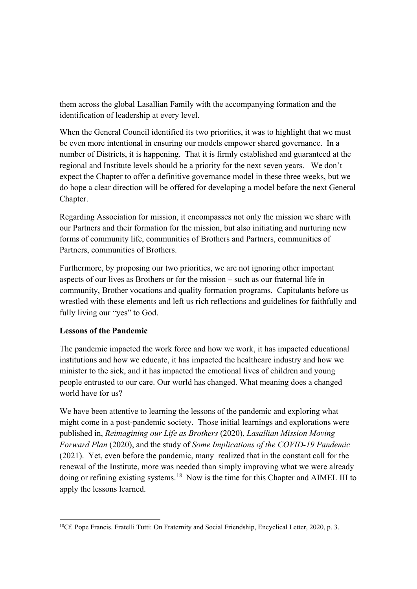them across the global Lasallian Family with the accompanying formation and the identification of leadership at every level.

When the General Council identified its two priorities, it was to highlight that we must be even more intentional in ensuring our models empower shared governance. In a number of Districts, it is happening. That it is firmly established and guaranteed at the regional and Institute levels should be a priority for the next seven years. We don't expect the Chapter to offer a definitive governance model in these three weeks, but we do hope a clear direction will be offered for developing a model before the next General Chapter.

Regarding Association for mission, it encompasses not only the mission we share with our Partners and their formation for the mission, but also initiating and nurturing new forms of community life, communities of Brothers and Partners, communities of Partners, communities of Brothers.

Furthermore, by proposing our two priorities, we are not ignoring other important aspects of our lives as Brothers or for the mission – such as our fraternal life in community, Brother vocations and quality formation programs. Capitulants before us wrestled with these elements and left us rich reflections and guidelines for faithfully and fully living our "yes" to God.

## **Lessons of the Pandemic**

The pandemic impacted the work force and how we work, it has impacted educational institutions and how we educate, it has impacted the healthcare industry and how we minister to the sick, and it has impacted the emotional lives of children and young people entrusted to our care. Our world has changed. What meaning does a changed world have for us?

We have been attentive to learning the lessons of the pandemic and exploring what might come in a post-pandemic society. Those initial learnings and explorations were published in, *Reimagining our Life as Brothers* (2020), *Lasallian Mission Moving Forward Plan* (2020), and the study of *Some Implications of the COVID-19 Pandemic* (2021). Yet, even before the pandemic, many realized that in the constant call for the renewal of the Institute, more was needed than simply improving what we were already doing or refining existing systems.<sup>18</sup> Now is the time for this Chapter and AIMEL III to apply the lessons learned.

<span id="page-6-0"></span><sup>&</sup>lt;u>.</u> <sup>18</sup>Cf. Pope Francis. Fratelli Tutti: On Fraternity and Social Friendship, Encyclical Letter, 2020, p. 3.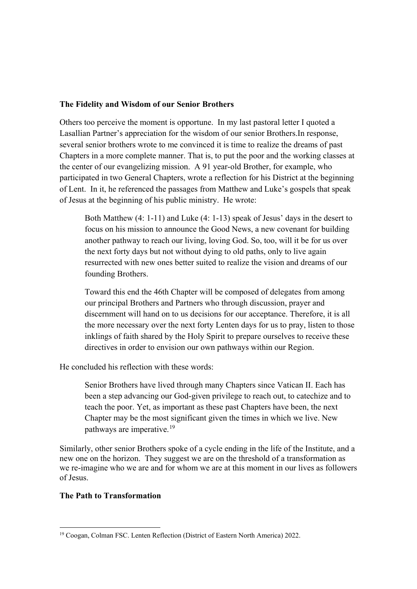#### **The Fidelity and Wisdom of our Senior Brothers**

Others too perceive the moment is opportune. In my last pastoral letter I quoted a Lasallian Partner's appreciation for the wisdom of our senior Brothers.In response, several senior brothers wrote to me convinced it is time to realize the dreams of past Chapters in a more complete manner. That is, to put the poor and the working classes at the center of our evangelizing mission. A 91 year-old Brother, for example, who participated in two General Chapters, wrote a reflection for his District at the beginning of Lent. In it, he referenced the passages from Matthew and Luke's gospels that speak of Jesus at the beginning of his public ministry. He wrote:

Both Matthew (4: 1-11) and Luke (4: 1-13) speak of Jesus' days in the desert to focus on his mission to announce the Good News, a new covenant for building another pathway to reach our living, loving God. So, too, will it be for us over the next forty days but not without dying to old paths, only to live again resurrected with new ones better suited to realize the vision and dreams of our founding Brothers.

Toward this end the 46th Chapter will be composed of delegates from among our principal Brothers and Partners who through discussion, prayer and discernment will hand on to us decisions for our acceptance. Therefore, it is all the more necessary over the next forty Lenten days for us to pray, listen to those inklings of faith shared by the Holy Spirit to prepare ourselves to receive these directives in order to envision our own pathways within our Region.

He concluded his reflection with these words:

Senior Brothers have lived through many Chapters since Vatican II. Each has been a step advancing our God-given privilege to reach out, to catechize and to teach the poor. Yet, as important as these past Chapters have been, the next Chapter may be the most significant given the times in which we live. New pathways are imperative.[19](#page-7-0)

Similarly, other senior Brothers spoke of a cycle ending in the life of the Institute, and a new one on the horizon. They suggest we are on the threshold of a transformation as we re-imagine who we are and for whom we are at this moment in our lives as followers of Jesus.

## **The Path to Transformation**

 $\overline{\phantom{a}}$ 

<span id="page-7-0"></span><sup>19</sup> Coogan, Colman FSC. Lenten Reflection (District of Eastern North America) 2022.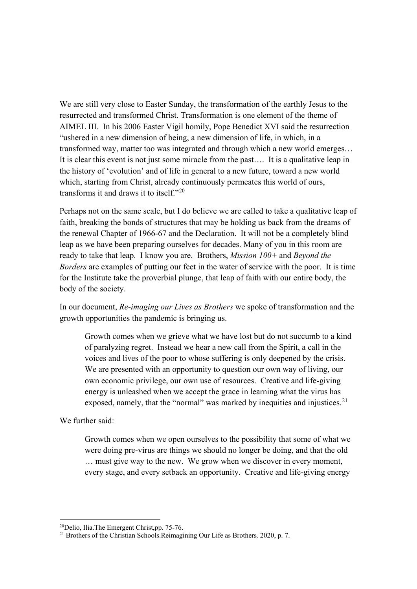We are still very close to Easter Sunday, the transformation of the earthly Jesus to the resurrected and transformed Christ. Transformation is one element of the theme of AIMEL III. In his 2006 Easter Vigil homily, Pope Benedict XVI said the resurrection "ushered in a new dimension of being, a new dimension of life, in which, in a transformed way, matter too was integrated and through which a new world emerges… It is clear this event is not just some miracle from the past…. It is a qualitative leap in the history of 'evolution' and of life in general to a new future, toward a new world which, starting from Christ, already continuously permeates this world of ours, transforms it and draws it to itself."[20](#page-8-0)

Perhaps not on the same scale, but I do believe we are called to take a qualitative leap of faith, breaking the bonds of structures that may be holding us back from the dreams of the renewal Chapter of 1966-67 and the Declaration. It will not be a completely blind leap as we have been preparing ourselves for decades. Many of you in this room are ready to take that leap. I know you are. Brothers, *Mission 100+* and *Beyond the Borders* are examples of putting our feet in the water of service with the poor. It is time for the Institute take the proverbial plunge, that leap of faith with our entire body, the body of the society.

In our document, *Re-imaging our Lives as Brothers* we spoke of transformation and the growth opportunities the pandemic is bringing us.

Growth comes when we grieve what we have lost but do not succumb to a kind of paralyzing regret. Instead we hear a new call from the Spirit, a call in the voices and lives of the poor to whose suffering is only deepened by the crisis. We are presented with an opportunity to question our own way of living, our own economic privilege, our own use of resources. Creative and life-giving energy is unleashed when we accept the grace in learning what the virus has exposed, namely, that the "normal" was marked by inequities and injustices.<sup>[21](#page-8-1)</sup>

We further said:

**.** 

Growth comes when we open ourselves to the possibility that some of what we were doing pre-virus are things we should no longer be doing, and that the old … must give way to the new. We grow when we discover in every moment, every stage, and every setback an opportunity. Creative and life-giving energy

<span id="page-8-1"></span><span id="page-8-0"></span><sup>&</sup>lt;sup>20</sup>Delio, Ilia.The Emergent Christ,pp. 75-76.<br><sup>21</sup> Brothers of the Christian Schools.Reimagining Our Life as Brothers, 2020, p. 7.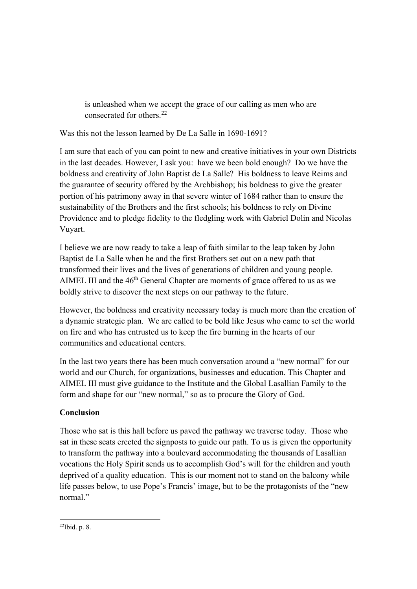is unleashed when we accept the grace of our calling as men who are consecrated for others.[22](#page-9-0)

Was this not the lesson learned by De La Salle in 1690-1691?

I am sure that each of you can point to new and creative initiatives in your own Districts in the last decades. However, I ask you: have we been bold enough? Do we have the boldness and creativity of John Baptist de La Salle? His boldness to leave Reims and the guarantee of security offered by the Archbishop; his boldness to give the greater portion of his patrimony away in that severe winter of 1684 rather than to ensure the sustainability of the Brothers and the first schools; his boldness to rely on Divine Providence and to pledge fidelity to the fledgling work with Gabriel Dolin and Nicolas Vuyart.

I believe we are now ready to take a leap of faith similar to the leap taken by John Baptist de La Salle when he and the first Brothers set out on a new path that transformed their lives and the lives of generations of children and young people. AIMEL III and the  $46<sup>th</sup>$  General Chapter are moments of grace offered to us as we boldly strive to discover the next steps on our pathway to the future.

However, the boldness and creativity necessary today is much more than the creation of a dynamic strategic plan. We are called to be bold like Jesus who came to set the world on fire and who has entrusted us to keep the fire burning in the hearts of our communities and educational centers.

In the last two years there has been much conversation around a "new normal" for our world and our Church, for organizations, businesses and education. This Chapter and AIMEL III must give guidance to the Institute and the Global Lasallian Family to the form and shape for our "new normal," so as to procure the Glory of God.

# **Conclusion**

Those who sat is this hall before us paved the pathway we traverse today. Those who sat in these seats erected the signposts to guide our path. To us is given the opportunity to transform the pathway into a boulevard accommodating the thousands of Lasallian vocations the Holy Spirit sends us to accomplish God's will for the children and youth deprived of a quality education. This is our moment not to stand on the balcony while life passes below, to use Pope's Francis' image, but to be the protagonists of the "new normal."

<span id="page-9-0"></span><sup>&</sup>lt;u>.</u> 22Ibid. p. 8.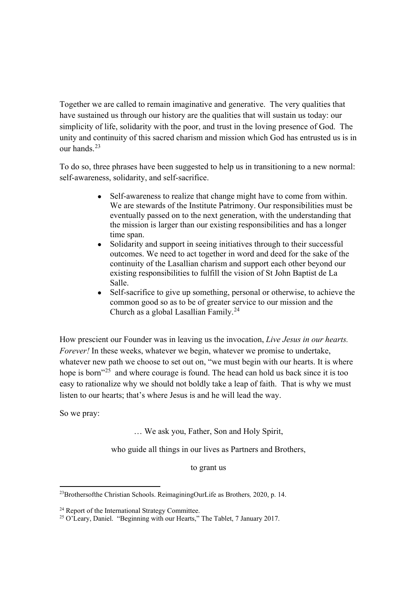Together we are called to remain imaginative and generative. The very qualities that have sustained us through our history are the qualities that will sustain us today: our simplicity of life, solidarity with the poor, and trust in the loving presence of God. The unity and continuity of this sacred charism and mission which God has entrusted us is in our hands.<sup>[23](#page-10-0)</sup>

To do so, three phrases have been suggested to help us in transitioning to a new normal: self-awareness, solidarity, and self-sacrifice.

- Self-awareness to realize that change might have to come from within. We are stewards of the Institute Patrimony. Our responsibilities must be eventually passed on to the next generation, with the understanding that the mission is larger than our existing responsibilities and has a longer time span.
- Solidarity and support in seeing initiatives through to their successful outcomes. We need to act together in word and deed for the sake of the continuity of the Lasallian charism and support each other beyond our existing responsibilities to fulfill the vision of St John Baptist de La Salle.
- Self-sacrifice to give up something, personal or otherwise, to achieve the common good so as to be of greater service to our mission and the Church as a global Lasallian Family.[24](#page-10-1)

How prescient our Founder was in leaving us the invocation, *Live Jesus in our hearts. Forever!* In these weeks, whatever we begin, whatever we promise to undertake, whatever new path we choose to set out on, "we must begin with our hearts. It is where hope is born"<sup>[25](#page-10-2)</sup> and where courage is found. The head can hold us back since it is too easy to rationalize why we should not boldly take a leap of faith. That is why we must listen to our hearts; that's where Jesus is and he will lead the way.

So we pray:

**.** 

… We ask you, Father, Son and Holy Spirit,

who guide all things in our lives as Partners and Brothers,

to grant us

<span id="page-10-0"></span><sup>23</sup>Brothersofthe Christian Schools. ReimaginingOurLife as Brothers*,* 2020, p. 14.

<span id="page-10-1"></span><sup>&</sup>lt;sup>24</sup> Report of the International Strategy Committee.

<span id="page-10-2"></span><sup>&</sup>lt;sup>25</sup> O'Leary, Daniel. "Beginning with our Hearts," The Tablet, 7 January 2017.